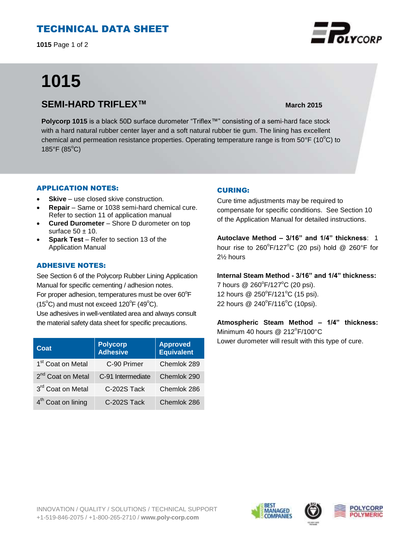## TECHNICAL DATA SHEET

**1015** Page 1 of 2

# **1015**

### **SEMI-HARD TRIFLEX™ March** 2015

**Polycorp 1015** is a black 50D surface durometer "Triflex™" consisting of a semi-hard face stock with a hard natural rubber center layer and a soft natural rubber tie gum. The lining has excellent chemical and permeation resistance properties. Operating temperature range is from  $50^{\circ}F$  (10 $^{\circ}C$ ) to 185 $\degree$ F (85 $\degree$ C)

#### APPLICATION NOTES:

- **Skive** use closed skive construction.
- **Repair**  Same or 1038 semi-hard chemical cure. Refer to section 11 of application manual
- **Cured Durometer**  Shore D durometer on top surface  $50 \pm 10$ .
- **Spark Test**  Refer to section 13 of the Application Manual

#### ADHESIVE NOTES:

See Section 6 of the Polycorp Rubber Lining Application Manual for specific cementing / adhesion notes. For proper adhesion, temperatures must be over  $60^{\circ}$ F  $(15^{\circ}C)$  and must not exceed  $120^{\circ}F(49^{\circ}C)$ . Use adhesives in well-ventilated area and always consult the material safety data sheet for specific precautions.

| Coat                           | <b>Polycorp</b><br>Adhesive | <b>Approved</b><br><b>Equivalent</b> |
|--------------------------------|-----------------------------|--------------------------------------|
| 1 <sup>st</sup> Coat on Metal  | C-90 Primer                 | Chemlok 289                          |
| 2 <sup>nd</sup> Coat on Metal  | C-91 Intermediate           | Chemlok 290                          |
| 3rd Coat on Metal              | C-202S Tack                 | Chemlok 286                          |
| 4 <sup>th</sup> Coat on lining | C-202S Tack                 | Chemlok 286                          |

#### CURING:

Cure time adjustments may be required to compensate for specific conditions. See Section 10 of the Application Manual for detailed instructions.

**Autoclave Method – 3/16" and 1/4" thickness**: 1 hour rise to  $260^{\circ}$ F/127 $^{\circ}$ C (20 psi) hold @ 260 $^{\circ}$ F for 2½ hours

**Internal Steam Method - 3/16" and 1/4" thickness:** 7 hours @ 260°F/127°C (20 psi). 12 hours @ 250°F/121°C (15 psi).

22 hours @ 240°F/116°C (10psi).

**Atmospheric Steam Method – 1/4" thickness:** Minimum 40 hours @ 212°F/100°C Lower durometer will result with this type of cure.